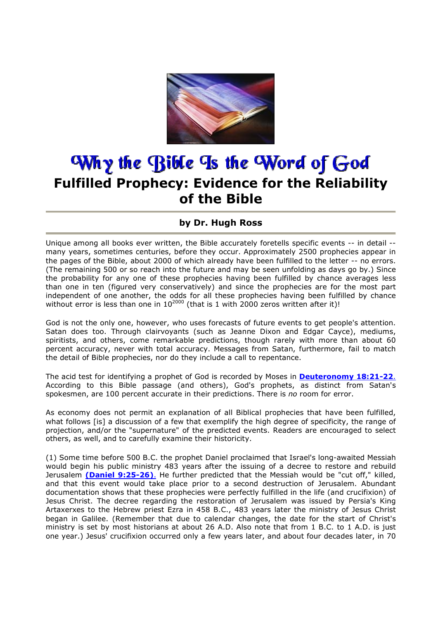

## Why the Bible Is the Word of God **Fulfilled Prophecy: Evidence for the Reliability of the Bible**

## **by Dr. Hugh Ross**

Unique among all books ever written, the Bible accurately foretells specific events -- in detail - many years, sometimes centuries, before they occur. Approximately 2500 prophecies appear in the pages of the Bible, about 2000 of which already have been fulfilled to the letter -- no errors. (The remaining 500 or so reach into the future and may be seen unfolding as days go by.) Since the probability for any one of these prophecies having been fulfilled by chance averages less than one in ten (figured very conservatively) and since the prophecies are for the most part independent of one another, the odds for all these prophecies having been fulfilled by chance without error is less than one in  $10^{2000}$  (that is 1 with 2000 zeros written after it)!

God is not the only one, however, who uses forecasts of future events to get people's attention. Satan does too. Through clairvoyants (such as Jeanne Dixon and Edgar Cayce), mediums, spiritists, and others, come remarkable predictions, though rarely with more than about 60 percent accuracy, never with total accuracy. Messages from Satan, furthermore, fail to match the detail of Bible prophecies, nor do they include a call to repentance.

The acid test for identifying a prophet of God is recorded by Moses in **Deuteronomy 18:21-22**. According to this Bible passage (and others), God's prophets, as distinct from Satan's spokesmen, are 100 percent accurate in their predictions. There is *no* room for error.

As economy does not permit an explanation of all Biblical prophecies that have been fulfilled, what follows [is] a discussion of a few that exemplify the high degree of specificity, the range of projection, and/or the "supernature" of the predicted events. Readers are encouraged to select others, as well, and to carefully examine their historicity.

(1) Some time before 500 B.C. the prophet Daniel proclaimed that Israel's long-awaited Messiah would begin his public ministry 483 years after the issuing of a decree to restore and rebuild Jerusalem **(Daniel 9:25-26)**. He further predicted that the Messiah would be "cut off," killed, and that this event would take place prior to a second destruction of Jerusalem. Abundant documentation shows that these prophecies were perfectly fulfilled in the life (and crucifixion) of Jesus Christ. The decree regarding the restoration of Jerusalem was issued by Persia's King Artaxerxes to the Hebrew priest Ezra in 458 B.C., 483 years later the ministry of Jesus Christ began in Galilee. (Remember that due to calendar changes, the date for the start of Christ's ministry is set by most historians at about 26 A.D. Also note that from 1 B.C. to 1 A.D. is just one year.) Jesus' crucifixion occurred only a few years later, and about four decades later, in 70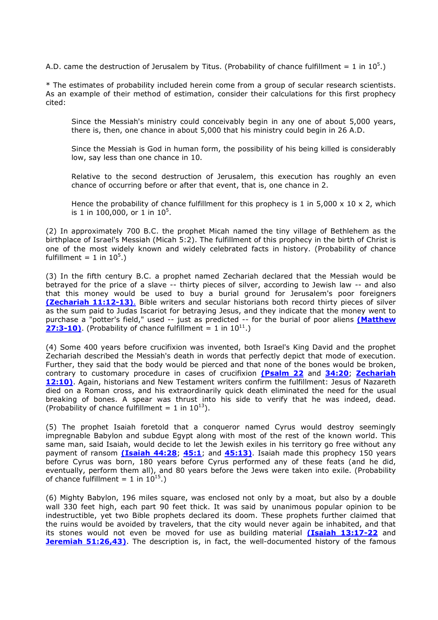A.D. came the destruction of Jerusalem by Titus. (Probability of chance fulfillment = 1 in  $10^5$ .)

\* The estimates of probability included herein come from a group of secular research scientists. As an example of their method of estimation, consider their calculations for this first prophecy cited:

Since the Messiah's ministry could conceivably begin in any one of about 5,000 years, there is, then, one chance in about 5,000 that his ministry could begin in 26 A.D.

Since the Messiah is God in human form, the possibility of his being killed is considerably low, say less than one chance in 10.

Relative to the second destruction of Jerusalem, this execution has roughly an even chance of occurring before or after that event, that is, one chance in 2.

Hence the probability of chance fulfillment for this prophecy is 1 in 5,000  $\times$  10  $\times$  2, which is 1 in 100,000, or 1 in  $10^5$ .

(2) In approximately 700 B.C. the prophet Micah named the tiny village of Bethlehem as the birthplace of Israel's Messiah (Micah 5:2). The fulfillment of this prophecy in the birth of Christ is one of the most widely known and widely celebrated facts in history. (Probability of chance fulfillment =  $1$  in  $10^5$ .)

(3) In the fifth century B.C. a prophet named Zechariah declared that the Messiah would be betrayed for the price of a slave -- thirty pieces of silver, according to Jewish law -- and also that this money would be used to buy a burial ground for Jerusalem's poor foreigners **(Zechariah 11:12-13)**. Bible writers and secular historians both record thirty pieces of silver as the sum paid to Judas Iscariot for betraying Jesus, and they indicate that the money went to purchase a "potter's field," used -- just as predicted -- for the burial of poor aliens **(Matthew 27:3-10).** (Probability of chance fulfillment = 1 in  $10^{11}$ .)

(4) Some 400 years before crucifixion was invented, both Israel's King David and the prophet Zechariah described the Messiah's death in words that perfectly depict that mode of execution. Further, they said that the body would be pierced and that none of the bones would be broken, contrary to customary procedure in cases of crucifixion **(Psalm 22** and **34:20**; **Zechariah 12:10)**. Again, historians and New Testament writers confirm the fulfillment: Jesus of Nazareth died on a Roman cross, and his extraordinarily quick death eliminated the need for the usual breaking of bones. A spear was thrust into his side to verify that he was indeed, dead. (Probability of chance fulfillment = 1 in  $10^{13}$ ).

(5) The prophet Isaiah foretold that a conqueror named Cyrus would destroy seemingly impregnable Babylon and subdue Egypt along with most of the rest of the known world. This same man, said Isaiah, would decide to let the Jewish exiles in his territory go free without any payment of ransom **(Isaiah 44:28**; **45:1**; and **45:13)**. Isaiah made this prophecy 150 years before Cyrus was born, 180 years before Cyrus performed any of these feats (and he did, eventually, perform them all), and 80 years before the Jews were taken into exile. (Probability of chance fulfillment = 1 in  $10^{15}$ .)

(6) Mighty Babylon, 196 miles square, was enclosed not only by a moat, but also by a double wall 330 feet high, each part 90 feet thick. It was said by unanimous popular opinion to be indestructible, yet two Bible prophets declared its doom. These prophets further claimed that the ruins would be avoided by travelers, that the city would never again be inhabited, and that its stones would not even be moved for use as building material **(Isaiah 13:17-22** and **Jeremiah 51:26,43).** The description is, in fact, the well-documented history of the famous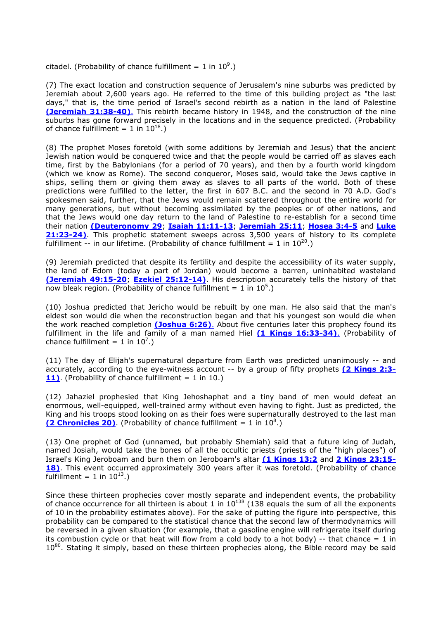citadel. (Probability of chance fulfillment = 1 in  $10^9$ .)

(7) The exact location and construction sequence of Jerusalem's nine suburbs was predicted by Jeremiah about 2,600 years ago. He referred to the time of this building project as "the last days," that is, the time period of Israel's second rebirth as a nation in the land of Palestine **(Jeremiah 31:38-40)**. This rebirth became history in 1948, and the construction of the nine suburbs has gone forward precisely in the locations and in the sequence predicted. (Probability of chance fulfillment = 1 in  $10^{18}$ .)

(8) The prophet Moses foretold (with some additions by Jeremiah and Jesus) that the ancient Jewish nation would be conquered twice and that the people would be carried off as slaves each time, first by the Babylonians (for a period of 70 years), and then by a fourth world kingdom (which we know as Rome). The second conqueror, Moses said, would take the Jews captive in ships, selling them or giving them away as slaves to all parts of the world. Both of these predictions were fulfilled to the letter, the first in 607 B.C. and the second in 70 A.D. God's spokesmen said, further, that the Jews would remain scattered throughout the entire world for many generations, but without becoming assimilated by the peoples or of other nations, and that the Jews would one day return to the land of Palestine to re-establish for a second time their nation **(Deuteronomy 29**; **Isaiah 11:11-13**; **Jeremiah 25:11**; **Hosea 3:4-5** and **Luke 21:23-24)**. This prophetic statement sweeps across 3,500 years of history to its complete fulfillment -- in our lifetime. (Probability of chance fulfillment = 1 in  $10^{20}$ .)

(9) Jeremiah predicted that despite its fertility and despite the accessibility of its water supply, the land of Edom (today a part of Jordan) would become a barren, uninhabited wasteland **(Jeremiah 49:15-20**; **Ezekiel 25:12-14)**. His description accurately tells the history of that  $\frac{1}{2}$  in the set parameter  $\frac{1}{2}$  is the set  $\frac{1}{2}$  in  $10^5$ .

(10) Joshua predicted that Jericho would be rebuilt by one man. He also said that the man's eldest son would die when the reconstruction began and that his youngest son would die when the work reached completion **(Joshua 6:26)**. About five centuries later this prophecy found its fulfillment in the life and family of a man named Hiel **(1 Kings 16:33-34)**. (Probability of chance fulfillment =  $1$  in  $10^7$ .)

(11) The day of Elijah's supernatural departure from Earth was predicted unanimously -- and accurately, according to the eye-witness account -- by a group of fifty prophets **(2 Kings 2:3- 11)**. (Probability of chance fulfillment = 1 in 10.)

(12) Jahaziel prophesied that King Jehoshaphat and a tiny band of men would defeat an enormous, well-equipped, well-trained army without even having to fight. Just as predicted, the King and his troops stood looking on as their foes were supernaturally destroyed to the last man  $(2$  **Chronicles 20**). (Probability of chance fulfillment =  $1$  in  $10^8$ .)

(13) One prophet of God (unnamed, but probably Shemiah) said that a future king of Judah, named Josiah, would take the bones of all the occultic priests (priests of the "high places") of Israel's King Jeroboam and burn them on Jeroboam's altar **(1 Kings 13:2** and **2 Kings 23:15-** 18). This event occurred approximately 300 years after it was foretold. (Probability of chance fulfillment = 1 in  $10^{13}$ .)

Since these thirteen prophecies cover mostly separate and independent events, the probability of chance occurrence for all thirteen is about 1 in  $10^{138}$  (138 equals the sum of all the exponents of 10 in the probability estimates above). For the sake of putting the figure into perspective, this probability can be compared to the statistical chance that the second law of thermodynamics will be reversed in a given situation (for example, that a gasoline engine will refrigerate itself during its combustion cycle or that heat will flow from a cold body to a hot body) -- that chance  $= 1$  in  $10^{80}$ . Stating it simply, based on these thirteen prophecies along, the Bible record may be said